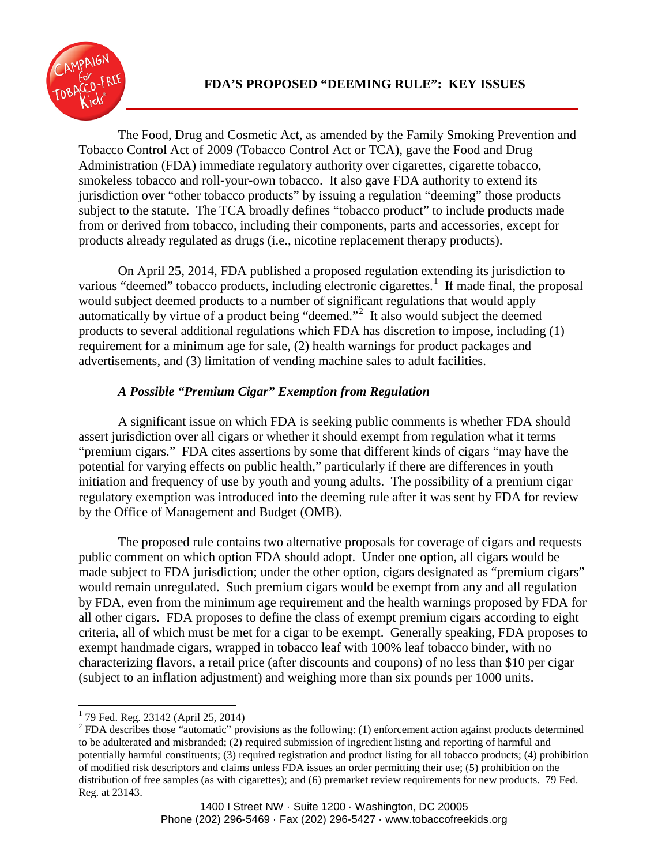

The Food, Drug and Cosmetic Act, as amended by the Family Smoking Prevention and Tobacco Control Act of 2009 (Tobacco Control Act or TCA), gave the Food and Drug Administration (FDA) immediate regulatory authority over cigarettes, cigarette tobacco, smokeless tobacco and roll-your-own tobacco. It also gave FDA authority to extend its jurisdiction over "other tobacco products" by issuing a regulation "deeming" those products subject to the statute. The TCA broadly defines "tobacco product" to include products made from or derived from tobacco, including their components, parts and accessories, except for products already regulated as drugs (i.e., nicotine replacement therapy products).

On April 25, 2014, FDA published a proposed regulation extending its jurisdiction to various "deemed" tobacco products, including electronic cigarettes.<sup>[1](#page-0-0)</sup> If made final, the proposal would subject deemed products to a number of significant regulations that would apply automatically by virtue of a product being "deemed."<sup>[2](#page-0-1)</sup> It also would subject the deemed products to several additional regulations which FDA has discretion to impose, including (1) requirement for a minimum age for sale, (2) health warnings for product packages and advertisements, and (3) limitation of vending machine sales to adult facilities.

# *A Possible "Premium Cigar" Exemption from Regulation*

A significant issue on which FDA is seeking public comments is whether FDA should assert jurisdiction over all cigars or whether it should exempt from regulation what it terms "premium cigars." FDA cites assertions by some that different kinds of cigars "may have the potential for varying effects on public health," particularly if there are differences in youth initiation and frequency of use by youth and young adults. The possibility of a premium cigar regulatory exemption was introduced into the deeming rule after it was sent by FDA for review by the Office of Management and Budget (OMB).

The proposed rule contains two alternative proposals for coverage of cigars and requests public comment on which option FDA should adopt. Under one option, all cigars would be made subject to FDA jurisdiction; under the other option, cigars designated as "premium cigars" would remain unregulated. Such premium cigars would be exempt from any and all regulation by FDA, even from the minimum age requirement and the health warnings proposed by FDA for all other cigars. FDA proposes to define the class of exempt premium cigars according to eight criteria, all of which must be met for a cigar to be exempt. Generally speaking, FDA proposes to exempt handmade cigars, wrapped in tobacco leaf with 100% leaf tobacco binder, with no characterizing flavors, a retail price (after discounts and coupons) of no less than \$10 per cigar (subject to an inflation adjustment) and weighing more than six pounds per 1000 units.

<span id="page-0-0"></span> <sup>1</sup> 79 Fed. Reg. 23142 (April 25, 2014)

<span id="page-0-1"></span> $2$  FDA describes those "automatic" provisions as the following: (1) enforcement action against products determined to be adulterated and misbranded; (2) required submission of ingredient listing and reporting of harmful and potentially harmful constituents; (3) required registration and product listing for all tobacco products; (4) prohibition of modified risk descriptors and claims unless FDA issues an order permitting their use; (5) prohibition on the distribution of free samples (as with cigarettes); and (6) premarket review requirements for new products. 79 Fed. Reg. at 23143.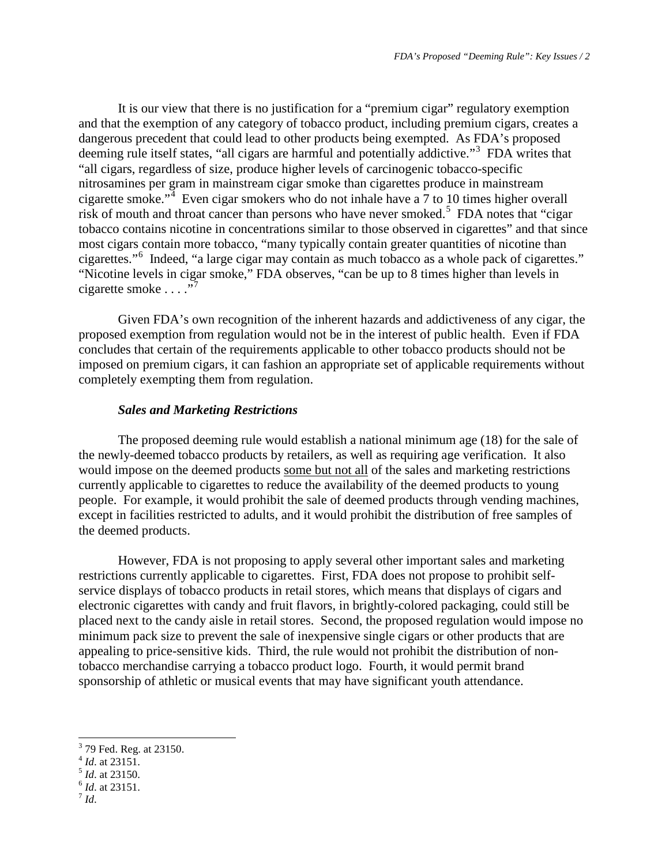It is our view that there is no justification for a "premium cigar" regulatory exemption and that the exemption of any category of tobacco product, including premium cigars, creates a dangerous precedent that could lead to other products being exempted. As FDA's proposed deeming rule itself states, "all cigars are harmful and potentially addictive."<sup>[3](#page-1-0)</sup> FDA writes that "all cigars, regardless of size, produce higher levels of carcinogenic tobacco-specific nitrosamines per gram in mainstream cigar smoke than cigarettes produce in mainstream cigarette smoke."<sup>[4](#page-1-1)</sup> Even cigar smokers who do not inhale have a  $\frac{7}{10}$  to 10 times higher overall risk of mouth and throat cancer than persons who have never smoked.<sup>[5](#page-1-2)</sup> FDA notes that "cigar" tobacco contains nicotine in concentrations similar to those observed in cigarettes" and that since most cigars contain more tobacco, "many typically contain greater quantities of nicotine than cigarettes."[6](#page-1-3) Indeed, "a large cigar may contain as much tobacco as a whole pack of cigarettes." "Nicotine levels in cigar smoke," FDA observes, "can be up to 8 times higher than levels in cigarette smoke  $\ldots$ ."<sup>[7](#page-1-4)</sup>

Given FDA's own recognition of the inherent hazards and addictiveness of any cigar, the proposed exemption from regulation would not be in the interest of public health. Even if FDA concludes that certain of the requirements applicable to other tobacco products should not be imposed on premium cigars, it can fashion an appropriate set of applicable requirements without completely exempting them from regulation.

#### *Sales and Marketing Restrictions*

The proposed deeming rule would establish a national minimum age (18) for the sale of the newly-deemed tobacco products by retailers, as well as requiring age verification. It also would impose on the deemed products some but not all of the sales and marketing restrictions currently applicable to cigarettes to reduce the availability of the deemed products to young people. For example, it would prohibit the sale of deemed products through vending machines, except in facilities restricted to adults, and it would prohibit the distribution of free samples of the deemed products.

However, FDA is not proposing to apply several other important sales and marketing restrictions currently applicable to cigarettes. First, FDA does not propose to prohibit selfservice displays of tobacco products in retail stores, which means that displays of cigars and electronic cigarettes with candy and fruit flavors, in brightly-colored packaging, could still be placed next to the candy aisle in retail stores. Second, the proposed regulation would impose no minimum pack size to prevent the sale of inexpensive single cigars or other products that are appealing to price-sensitive kids. Third, the rule would not prohibit the distribution of nontobacco merchandise carrying a tobacco product logo. Fourth, it would permit brand sponsorship of athletic or musical events that may have significant youth attendance.

- <span id="page-1-1"></span>
- <span id="page-1-3"></span><span id="page-1-2"></span>
- 
- <span id="page-1-4"></span>

<span id="page-1-0"></span><sup>3</sup> 79 Fed. Reg. at 23150. <sup>4</sup> *Id*. at 23151. <sup>5</sup> *Id*. at 23150. <sup>6</sup> *Id*. at 23151. <sup>7</sup> *Id*.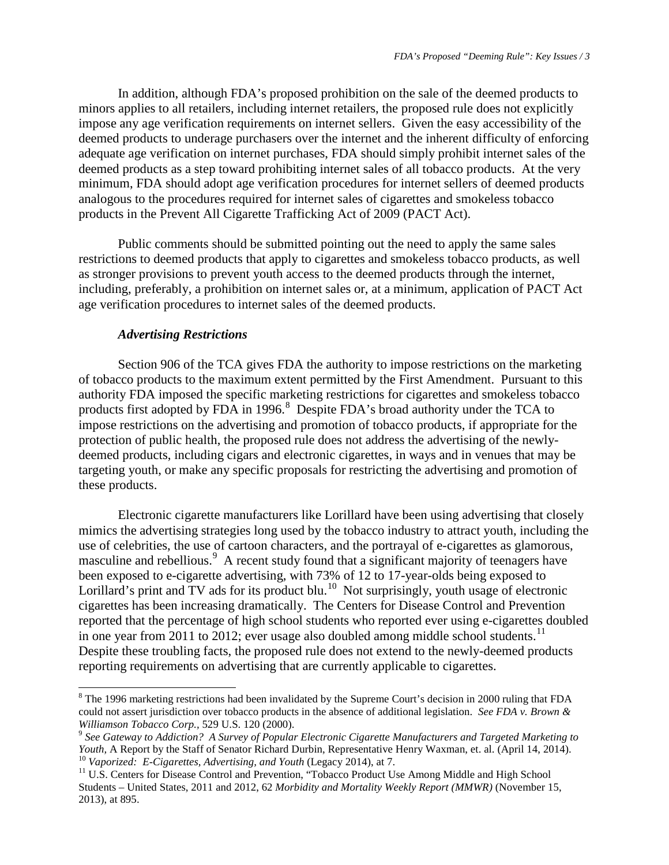In addition, although FDA's proposed prohibition on the sale of the deemed products to minors applies to all retailers, including internet retailers, the proposed rule does not explicitly impose any age verification requirements on internet sellers. Given the easy accessibility of the deemed products to underage purchasers over the internet and the inherent difficulty of enforcing adequate age verification on internet purchases, FDA should simply prohibit internet sales of the deemed products as a step toward prohibiting internet sales of all tobacco products. At the very minimum, FDA should adopt age verification procedures for internet sellers of deemed products analogous to the procedures required for internet sales of cigarettes and smokeless tobacco products in the Prevent All Cigarette Trafficking Act of 2009 (PACT Act).

Public comments should be submitted pointing out the need to apply the same sales restrictions to deemed products that apply to cigarettes and smokeless tobacco products, as well as stronger provisions to prevent youth access to the deemed products through the internet, including, preferably, a prohibition on internet sales or, at a minimum, application of PACT Act age verification procedures to internet sales of the deemed products.

# *Advertising Restrictions*

Section 906 of the TCA gives FDA the authority to impose restrictions on the marketing of tobacco products to the maximum extent permitted by the First Amendment. Pursuant to this authority FDA imposed the specific marketing restrictions for cigarettes and smokeless tobacco products first adopted by FDA in 1996. $8$  Despite FDA's broad authority under the TCA to impose restrictions on the advertising and promotion of tobacco products, if appropriate for the protection of public health, the proposed rule does not address the advertising of the newlydeemed products, including cigars and electronic cigarettes, in ways and in venues that may be targeting youth, or make any specific proposals for restricting the advertising and promotion of these products.

Electronic cigarette manufacturers like Lorillard have been using advertising that closely mimics the advertising strategies long used by the tobacco industry to attract youth, including the use of celebrities, the use of cartoon characters, and the portrayal of e-cigarettes as glamorous, masculine and rebellious.<sup>[9](#page-2-1)</sup> A recent study found that a significant majority of teenagers have been exposed to e-cigarette advertising, with 73% of 12 to 17-year-olds being exposed to Lorillard's print and  $TV$  ads for its product blu.<sup>[10](#page-2-2)</sup> Not surprisingly, youth usage of electronic cigarettes has been increasing dramatically. The Centers for Disease Control and Prevention reported that the percentage of high school students who reported ever using e-cigarettes doubled in one year from 20[11](#page-2-3) to 2012; ever usage also doubled among middle school students.<sup>11</sup> Despite these troubling facts, the proposed rule does not extend to the newly-deemed products reporting requirements on advertising that are currently applicable to cigarettes.

<span id="page-2-0"></span><sup>&</sup>lt;sup>8</sup> The 1996 marketing restrictions had been invalidated by the Supreme Court's decision in 2000 ruling that FDA could not assert jurisdiction over tobacco products in the absence of additional legislation. *See FDA v. Brown &* 

<span id="page-2-1"></span>*Williamson Tobacco Corp., 529 U.S. 120 (2000).*<br><sup>9</sup> *See Gateway to Addiction? A Survey of Popular Electronic Cigarette Manufacturers and Targeted Marketing to Youth, A Report by the Staff of Senator Richard Durbin, Repre* <sup>10</sup> Vaporized: E-Cigarettes, Advertising, and Youth (Legacy 2014), at 7.<br><sup>11</sup> U.S. Centers for Disease Control and Prevention, "Tobacco Product Use Among Middle and High School

<span id="page-2-3"></span><span id="page-2-2"></span>Students – United States, 2011 and 2012, 62 *Morbidity and Mortality Weekly Report (MMWR)* (November 15, 2013), at 895.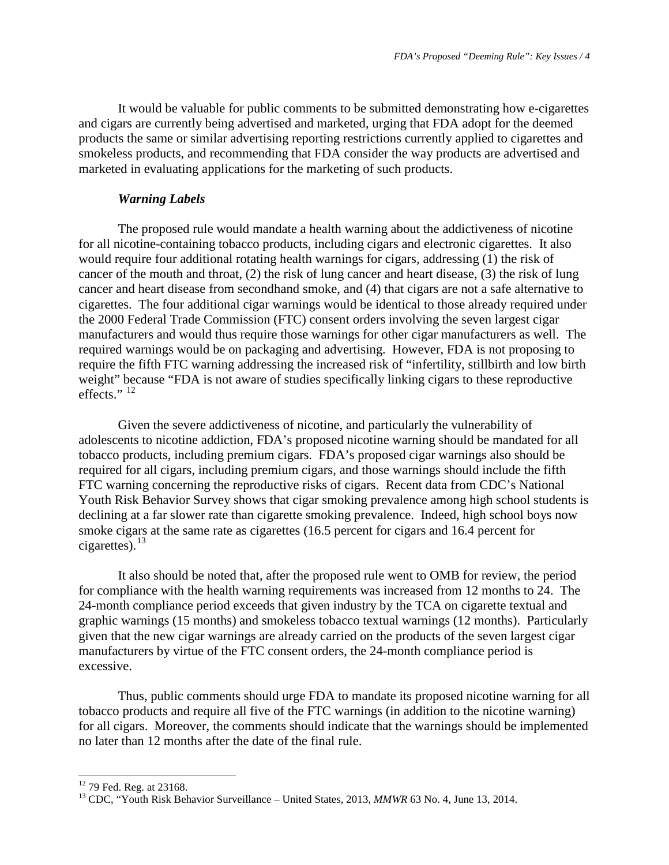It would be valuable for public comments to be submitted demonstrating how e-cigarettes and cigars are currently being advertised and marketed, urging that FDA adopt for the deemed products the same or similar advertising reporting restrictions currently applied to cigarettes and smokeless products, and recommending that FDA consider the way products are advertised and marketed in evaluating applications for the marketing of such products.

#### *Warning Labels*

The proposed rule would mandate a health warning about the addictiveness of nicotine for all nicotine-containing tobacco products, including cigars and electronic cigarettes. It also would require four additional rotating health warnings for cigars, addressing (1) the risk of cancer of the mouth and throat, (2) the risk of lung cancer and heart disease, (3) the risk of lung cancer and heart disease from secondhand smoke, and (4) that cigars are not a safe alternative to cigarettes. The four additional cigar warnings would be identical to those already required under the 2000 Federal Trade Commission (FTC) consent orders involving the seven largest cigar manufacturers and would thus require those warnings for other cigar manufacturers as well. The required warnings would be on packaging and advertising. However, FDA is not proposing to require the fifth FTC warning addressing the increased risk of "infertility, stillbirth and low birth weight" because "FDA is not aware of studies specifically linking cigars to these reproductive effects."<sup>[12](#page-3-0)</sup>

Given the severe addictiveness of nicotine, and particularly the vulnerability of adolescents to nicotine addiction, FDA's proposed nicotine warning should be mandated for all tobacco products, including premium cigars. FDA's proposed cigar warnings also should be required for all cigars, including premium cigars, and those warnings should include the fifth FTC warning concerning the reproductive risks of cigars. Recent data from CDC's National Youth Risk Behavior Survey shows that cigar smoking prevalence among high school students is declining at a far slower rate than cigarette smoking prevalence. Indeed, high school boys now smoke cigars at the same rate as cigarettes (16.5 percent for cigars and 16.4 percent for cigarettes). $^{13}$  $^{13}$  $^{13}$ 

It also should be noted that, after the proposed rule went to OMB for review, the period for compliance with the health warning requirements was increased from 12 months to 24. The 24-month compliance period exceeds that given industry by the TCA on cigarette textual and graphic warnings (15 months) and smokeless tobacco textual warnings (12 months). Particularly given that the new cigar warnings are already carried on the products of the seven largest cigar manufacturers by virtue of the FTC consent orders, the 24-month compliance period is excessive.

Thus, public comments should urge FDA to mandate its proposed nicotine warning for all tobacco products and require all five of the FTC warnings (in addition to the nicotine warning) for all cigars. Moreover, the comments should indicate that the warnings should be implemented no later than 12 months after the date of the final rule.

<span id="page-3-1"></span>

<span id="page-3-0"></span><sup>&</sup>lt;sup>12</sup> 79 Fed. Reg. at 23168.<br><sup>13</sup> CDC, "Youth Risk Behavior Surveillance – United States, 2013, *MMWR* 63 No. 4, June 13, 2014.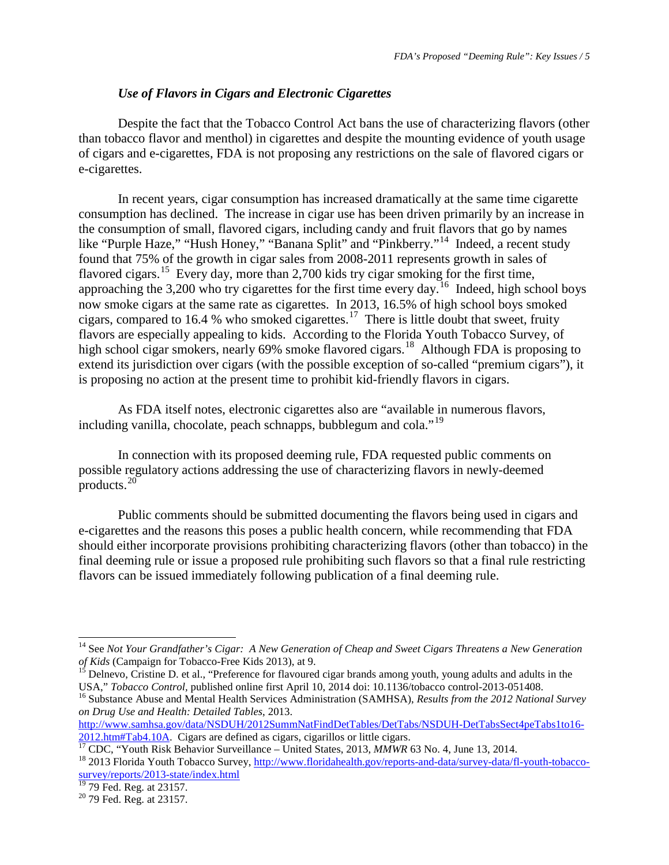### *Use of Flavors in Cigars and Electronic Cigarettes*

Despite the fact that the Tobacco Control Act bans the use of characterizing flavors (other than tobacco flavor and menthol) in cigarettes and despite the mounting evidence of youth usage of cigars and e-cigarettes, FDA is not proposing any restrictions on the sale of flavored cigars or e-cigarettes.

In recent years, cigar consumption has increased dramatically at the same time cigarette consumption has declined. The increase in cigar use has been driven primarily by an increase in the consumption of small, flavored cigars, including candy and fruit flavors that go by names like "Purple Haze," "Hush Honey," "Banana Split" and "Pinkberry."<sup>14</sup> Indeed, a recent study found that 75% of the growth in cigar sales from 2008-2011 represents growth in sales of flavored cigars.<sup>[15](#page-4-1)</sup> Every day, more than 2,700 kids try cigar smoking for the first time, approaching the 3,200 who try cigarettes for the first time every day.[16](#page-4-2) Indeed, high school boys now smoke cigars at the same rate as cigarettes. In 2013, 16.5% of high school boys smoked cigars, compared to 16.4 % who smoked cigarettes.<sup>17</sup> There is little doubt that sweet, fruity flavors are especially appealing to kids. According to the Florida Youth Tobacco Survey, of high school cigar smokers, nearly 69% smoke flavored cigars.<sup>[18](#page-4-4)</sup> Although FDA is proposing to extend its jurisdiction over cigars (with the possible exception of so-called "premium cigars"), it is proposing no action at the present time to prohibit kid-friendly flavors in cigars.

As FDA itself notes, electronic cigarettes also are "available in numerous flavors, including vanilla, chocolate, peach schnapps, bubblegum and cola."<sup>[19](#page-4-5)</sup>

In connection with its proposed deeming rule, FDA requested public comments on possible regulatory actions addressing the use of characterizing flavors in newly-deemed products. $20^{\circ}$  $20^{\circ}$ 

Public comments should be submitted documenting the flavors being used in cigars and e-cigarettes and the reasons this poses a public health concern, while recommending that FDA should either incorporate provisions prohibiting characterizing flavors (other than tobacco) in the final deeming rule or issue a proposed rule prohibiting such flavors so that a final rule restricting flavors can be issued immediately following publication of a final deeming rule.

 <sup>14</sup> See *Not Your Grandfather's Cigar: A New Generation of Cheap and Sweet Cigars Threatens a New Generation* 

<span id="page-4-1"></span><span id="page-4-0"></span>*of Kids* (Campaign for Tobacco-Free Kids 2013), at 9.<br><sup>15</sup> Delnevo, Cristine D. et al., "Preference for flavoured cigar brands among youth, young adults and adults in the USA," *Tobacco Control*, published online first Ap

<span id="page-4-2"></span><sup>&</sup>lt;sup>16</sup> Substance Abuse and Mental Health Services Administration (SAMHSA), Results from the 2012 National Survey *on Drug Use and Health: Detailed Tables*, 2013.

[http://www.samhsa.gov/data/NSDUH/2012SummNatFindDetTables/DetTabs/NSDUH-DetTabsSect4peTabs1to16-](http://www.samhsa.gov/data/NSDUH/2012SummNatFindDetTables/DetTabs/NSDUH-DetTabsSect4peTabs1to16-2012.htm#Tab4.10A)  $\frac{2012 \text{.html}}{17}$  $\frac{2012 \text{.html}}{17}$  $\frac{2012 \text{.html}}{17}$ CDC, "Youth Risk Behavior Surveillance – United States, 2013, *MMWR* 63 No. 4, June 13, 2014.<br><sup>17</sup> CDC, "Youth Risk Behavior Surveillance – United States, 2013, *MMWR* 63 No. 4, June 13, 2014.<br><sup>18</sup> 2013

<span id="page-4-3"></span>

<span id="page-4-4"></span>[survey/reports/2013-state/index.html](http://www.floridahealth.gov/reports-and-data/survey-data/fl-youth-tobacco-survey/reports/2013-state/index.html)

<span id="page-4-5"></span> $^{19}$  79 Fed. Reg. at 23157.<br> $^{20}$  79 Fed. Reg. at 23157.

<span id="page-4-6"></span>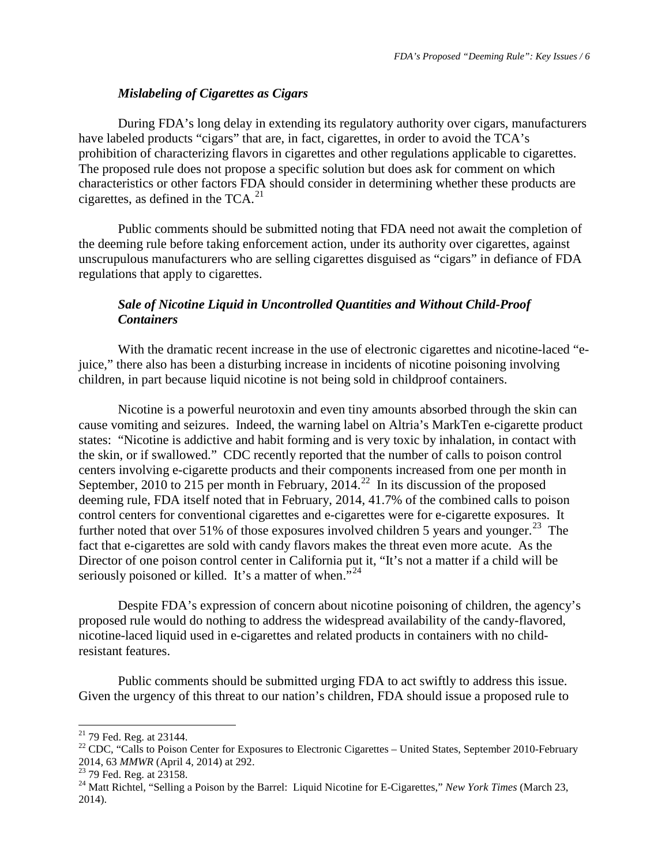# *Mislabeling of Cigarettes as Cigars*

During FDA's long delay in extending its regulatory authority over cigars, manufacturers have labeled products "cigars" that are, in fact, cigarettes, in order to avoid the TCA's prohibition of characterizing flavors in cigarettes and other regulations applicable to cigarettes. The proposed rule does not propose a specific solution but does ask for comment on which characteristics or other factors FDA should consider in determining whether these products are cigarettes, as defined in the  $TCA.<sup>21</sup>$ 

Public comments should be submitted noting that FDA need not await the completion of the deeming rule before taking enforcement action, under its authority over cigarettes, against unscrupulous manufacturers who are selling cigarettes disguised as "cigars" in defiance of FDA regulations that apply to cigarettes.

# *Sale of Nicotine Liquid in Uncontrolled Quantities and Without Child-Proof Containers*

With the dramatic recent increase in the use of electronic cigarettes and nicotine-laced "ejuice," there also has been a disturbing increase in incidents of nicotine poisoning involving children, in part because liquid nicotine is not being sold in childproof containers.

Nicotine is a powerful neurotoxin and even tiny amounts absorbed through the skin can cause vomiting and seizures. Indeed, the warning label on Altria's MarkTen e-cigarette product states: "Nicotine is addictive and habit forming and is very toxic by inhalation, in contact with the skin, or if swallowed." CDC recently reported that the number of calls to poison control centers involving e-cigarette products and their components increased from one per month in September, 2010 to 215 per month in February, 2014.<sup>22</sup> In its discussion of the proposed deeming rule, FDA itself noted that in February, 2014, 41.7% of the combined calls to poison control centers for conventional cigarettes and e-cigarettes were for e-cigarette exposures. It further noted that over 51% of those exposures involved children 5 years and younger.<sup>23</sup> The fact that e-cigarettes are sold with candy flavors makes the threat even more acute. As the Director of one poison control center in California put it, "It's not a matter if a child will be seriously poisoned or killed. It's a matter of when."<sup>[24](#page-5-3)</sup>

Despite FDA's expression of concern about nicotine poisoning of children, the agency's proposed rule would do nothing to address the widespread availability of the candy-flavored, nicotine-laced liquid used in e-cigarettes and related products in containers with no childresistant features.

Public comments should be submitted urging FDA to act swiftly to address this issue. Given the urgency of this threat to our nation's children, FDA should issue a proposed rule to

<span id="page-5-1"></span><span id="page-5-0"></span><sup>&</sup>lt;sup>21</sup> 79 Fed. Reg. at 23144.<br><sup>22</sup> CDC, "Calls to Poison Center for Exposures to Electronic Cigarettes – United States, September 2010-February<br>2014, 63 *MMWR* (April 4, 2014) at 292.<br><sup>23</sup> 79 Fed. Reg. at 23158.

<span id="page-5-2"></span>

<span id="page-5-3"></span><sup>&</sup>lt;sup>24</sup> Matt Richtel, "Selling a Poison by the Barrel: Liquid Nicotine for E-Cigarettes," *New York Times (March 23,* 2014).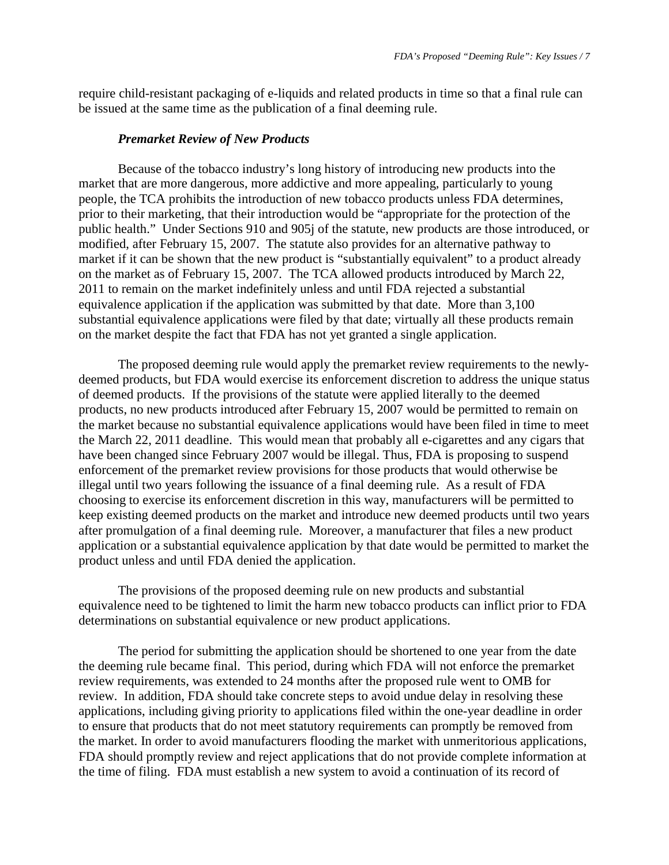require child-resistant packaging of e-liquids and related products in time so that a final rule can be issued at the same time as the publication of a final deeming rule.

#### *Premarket Review of New Products*

Because of the tobacco industry's long history of introducing new products into the market that are more dangerous, more addictive and more appealing, particularly to young people, the TCA prohibits the introduction of new tobacco products unless FDA determines, prior to their marketing, that their introduction would be "appropriate for the protection of the public health." Under Sections 910 and 905j of the statute, new products are those introduced, or modified, after February 15, 2007. The statute also provides for an alternative pathway to market if it can be shown that the new product is "substantially equivalent" to a product already on the market as of February 15, 2007. The TCA allowed products introduced by March 22, 2011 to remain on the market indefinitely unless and until FDA rejected a substantial equivalence application if the application was submitted by that date. More than 3,100 substantial equivalence applications were filed by that date; virtually all these products remain on the market despite the fact that FDA has not yet granted a single application.

The proposed deeming rule would apply the premarket review requirements to the newlydeemed products, but FDA would exercise its enforcement discretion to address the unique status of deemed products. If the provisions of the statute were applied literally to the deemed products, no new products introduced after February 15, 2007 would be permitted to remain on the market because no substantial equivalence applications would have been filed in time to meet the March 22, 2011 deadline. This would mean that probably all e-cigarettes and any cigars that have been changed since February 2007 would be illegal. Thus, FDA is proposing to suspend enforcement of the premarket review provisions for those products that would otherwise be illegal until two years following the issuance of a final deeming rule. As a result of FDA choosing to exercise its enforcement discretion in this way, manufacturers will be permitted to keep existing deemed products on the market and introduce new deemed products until two years after promulgation of a final deeming rule. Moreover, a manufacturer that files a new product application or a substantial equivalence application by that date would be permitted to market the product unless and until FDA denied the application.

The provisions of the proposed deeming rule on new products and substantial equivalence need to be tightened to limit the harm new tobacco products can inflict prior to FDA determinations on substantial equivalence or new product applications.

The period for submitting the application should be shortened to one year from the date the deeming rule became final. This period, during which FDA will not enforce the premarket review requirements, was extended to 24 months after the proposed rule went to OMB for review. In addition, FDA should take concrete steps to avoid undue delay in resolving these applications, including giving priority to applications filed within the one-year deadline in order to ensure that products that do not meet statutory requirements can promptly be removed from the market. In order to avoid manufacturers flooding the market with unmeritorious applications, FDA should promptly review and reject applications that do not provide complete information at the time of filing. FDA must establish a new system to avoid a continuation of its record of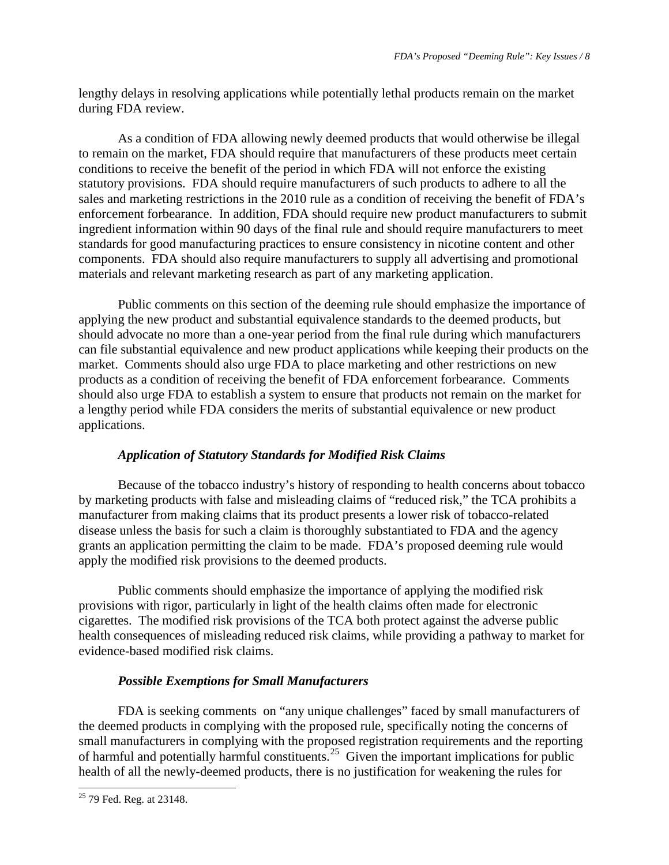lengthy delays in resolving applications while potentially lethal products remain on the market during FDA review.

As a condition of FDA allowing newly deemed products that would otherwise be illegal to remain on the market, FDA should require that manufacturers of these products meet certain conditions to receive the benefit of the period in which FDA will not enforce the existing statutory provisions. FDA should require manufacturers of such products to adhere to all the sales and marketing restrictions in the 2010 rule as a condition of receiving the benefit of FDA's enforcement forbearance. In addition, FDA should require new product manufacturers to submit ingredient information within 90 days of the final rule and should require manufacturers to meet standards for good manufacturing practices to ensure consistency in nicotine content and other components. FDA should also require manufacturers to supply all advertising and promotional materials and relevant marketing research as part of any marketing application.

Public comments on this section of the deeming rule should emphasize the importance of applying the new product and substantial equivalence standards to the deemed products, but should advocate no more than a one-year period from the final rule during which manufacturers can file substantial equivalence and new product applications while keeping their products on the market. Comments should also urge FDA to place marketing and other restrictions on new products as a condition of receiving the benefit of FDA enforcement forbearance. Comments should also urge FDA to establish a system to ensure that products not remain on the market for a lengthy period while FDA considers the merits of substantial equivalence or new product applications.

# *Application of Statutory Standards for Modified Risk Claims*

Because of the tobacco industry's history of responding to health concerns about tobacco by marketing products with false and misleading claims of "reduced risk," the TCA prohibits a manufacturer from making claims that its product presents a lower risk of tobacco-related disease unless the basis for such a claim is thoroughly substantiated to FDA and the agency grants an application permitting the claim to be made. FDA's proposed deeming rule would apply the modified risk provisions to the deemed products.

Public comments should emphasize the importance of applying the modified risk provisions with rigor, particularly in light of the health claims often made for electronic cigarettes. The modified risk provisions of the TCA both protect against the adverse public health consequences of misleading reduced risk claims, while providing a pathway to market for evidence-based modified risk claims.

# *Possible Exemptions for Small Manufacturers*

FDA is seeking comments on "any unique challenges" faced by small manufacturers of the deemed products in complying with the proposed rule, specifically noting the concerns of small manufacturers in complying with the proposed registration requirements and the reporting of harmful and potentially harmful constituents.<sup>25</sup> Given the important implications for public health of all the newly-deemed products, there is no justification for weakening the rules for

<span id="page-7-0"></span><sup>&</sup>lt;sup>25</sup> 79 Fed. Reg. at 23148.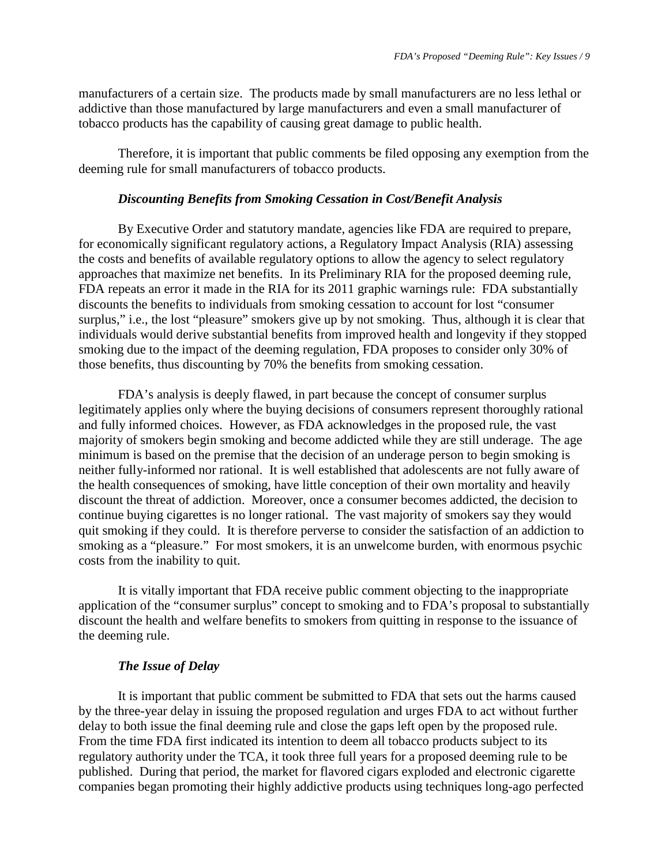manufacturers of a certain size. The products made by small manufacturers are no less lethal or addictive than those manufactured by large manufacturers and even a small manufacturer of tobacco products has the capability of causing great damage to public health.

Therefore, it is important that public comments be filed opposing any exemption from the deeming rule for small manufacturers of tobacco products.

#### *Discounting Benefits from Smoking Cessation in Cost/Benefit Analysis*

By Executive Order and statutory mandate, agencies like FDA are required to prepare, for economically significant regulatory actions, a Regulatory Impact Analysis (RIA) assessing the costs and benefits of available regulatory options to allow the agency to select regulatory approaches that maximize net benefits. In its Preliminary RIA for the proposed deeming rule, FDA repeats an error it made in the RIA for its 2011 graphic warnings rule: FDA substantially discounts the benefits to individuals from smoking cessation to account for lost "consumer surplus," i.e., the lost "pleasure" smokers give up by not smoking. Thus, although it is clear that individuals would derive substantial benefits from improved health and longevity if they stopped smoking due to the impact of the deeming regulation, FDA proposes to consider only 30% of those benefits, thus discounting by 70% the benefits from smoking cessation.

FDA's analysis is deeply flawed, in part because the concept of consumer surplus legitimately applies only where the buying decisions of consumers represent thoroughly rational and fully informed choices. However, as FDA acknowledges in the proposed rule, the vast majority of smokers begin smoking and become addicted while they are still underage. The age minimum is based on the premise that the decision of an underage person to begin smoking is neither fully-informed nor rational. It is well established that adolescents are not fully aware of the health consequences of smoking, have little conception of their own mortality and heavily discount the threat of addiction. Moreover, once a consumer becomes addicted, the decision to continue buying cigarettes is no longer rational. The vast majority of smokers say they would quit smoking if they could. It is therefore perverse to consider the satisfaction of an addiction to smoking as a "pleasure." For most smokers, it is an unwelcome burden, with enormous psychic costs from the inability to quit.

It is vitally important that FDA receive public comment objecting to the inappropriate application of the "consumer surplus" concept to smoking and to FDA's proposal to substantially discount the health and welfare benefits to smokers from quitting in response to the issuance of the deeming rule.

#### *The Issue of Delay*

It is important that public comment be submitted to FDA that sets out the harms caused by the three-year delay in issuing the proposed regulation and urges FDA to act without further delay to both issue the final deeming rule and close the gaps left open by the proposed rule. From the time FDA first indicated its intention to deem all tobacco products subject to its regulatory authority under the TCA, it took three full years for a proposed deeming rule to be published. During that period, the market for flavored cigars exploded and electronic cigarette companies began promoting their highly addictive products using techniques long-ago perfected